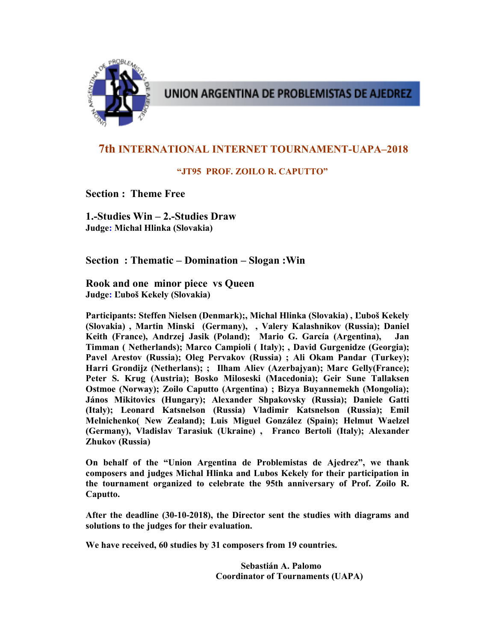

# UNION ARGENTINA DE PROBLEMISTAS DE AJEDREZ

# 7th INTERNATIONAL INTERNET TOURNAMENT-UAPA–2018

# "JT95 PROF. ZOILO R. CAPUTTO"

Section : Theme Free

1.-Studies Win – 2.-Studies Draw Judge: Michal Hlinka (Slovakia)

Section : Thematic – Domination – Slogan :Win

Rook and one minor piece vs Queen Judge: Ľuboš Kekely (Slovakia)

Participants: Steffen Nielsen (Denmark);, Michal Hlinka (Slovakia) , Ľuboš Kekely (Slovakia) , Martin Minski (Germany), , Valery Kalashnikov (Russia); Daniel Keith (France), Andrzej Jasik (Poland); Mario G. García (Argentina), Jan Timman ( Netherlands); Marco Campioli ( Italy); , David Gurgenidze (Georgia); Pavel Arestov (Russia); Oleg Pervakov (Russia) ; Ali Okam Pandar (Turkey); Harri Grondijz (Netherlans); ; Ilham Aliev (Azerbajyan); Marc Gelly(France); Peter S. Krug (Austria); Bosko Miloseski (Macedonia); Geir Sune Tallaksen Ostmoe (Norway); Zoilo Caputto (Argentina) ; Bizya Buyannemekh (Mongolia); János Mikitovics (Hungary); Alexander Shpakovsky (Russia); Daniele Gatti (Italy); Leonard Katsnelson (Russia) Vladimir Katsnelson (Russia); Emil Melnichenko( New Zealand); Luis Miguel González (Spain); Helmut Waelzel (Germany), Vladislav Tarasiuk (Ukraine) , Franco Bertoli (Italy); Alexander Zhukov (Russia)

On behalf of the "Union Argentina de Problemistas de Ajedrez", we thank composers and judges Michal Hlinka and Lubos Kekely for their participation in the tournament organized to celebrate the 95th anniversary of Prof. Zoilo R. Caputto.

After the deadline (30-10-2018), the Director sent the studies with diagrams and solutions to the judges for their evaluation.

We have received, 60 studies by 31 composers from 19 countries.

 Sebastián A. Palomo Coordinator of Tournaments (UAPA)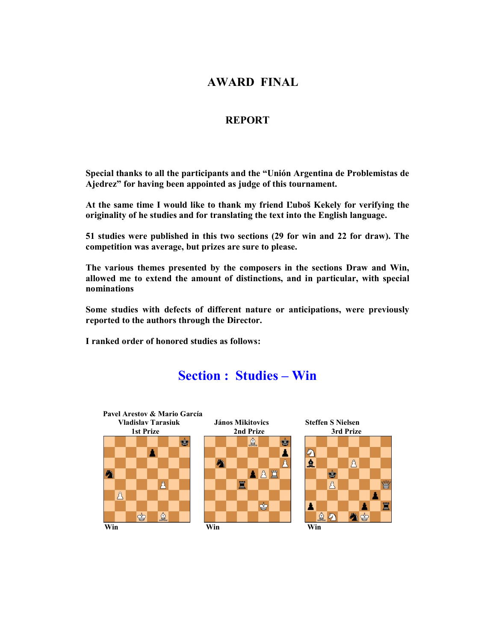# AWARD FINAL

# REPORT

Special thanks to all the participants and the "Unión Argentina de Problemistas de Ajedrez" for having been appointed as judge of this tournament.

At the same time I would like to thank my friend Ľuboš Kekely for verifying the originality of he studies and for translating the text into the English language.

51 studies were published in this two sections (29 for win and 22 for draw). The competition was average, but prizes are sure to please.

The various themes presented by the composers in the sections Draw and Win, allowed me to extend the amount of distinctions, and in particular, with special nominations

Some studies with defects of different nature or anticipations, were previously reported to the authors through the Director.

I ranked order of honored studies as follows:



# Section : Studies – Win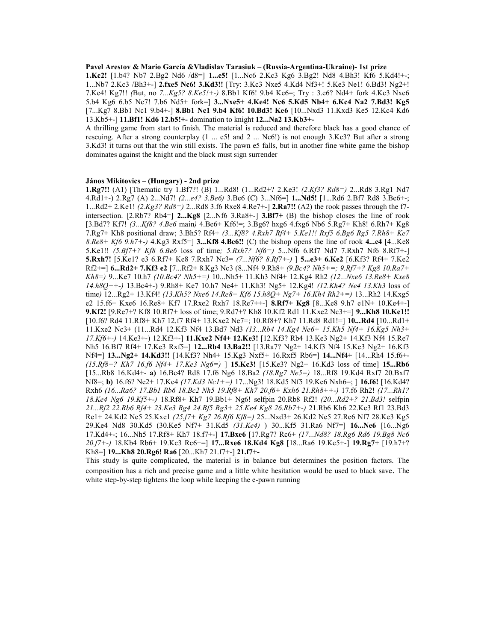Pavel Arestov & Mario García &Vladislav Tarasiuk – (Russia-Argentina-Ukraine)- 1st prize

1.Kc2! [1.b4? Nb7 2.Bg2 Nd6 /d8=] 1...e5! [1...Nc6 2.Kc3 Kg6 3.Bg2! Nd8 4.Bh3! Kf6 5.Kd4!+-; 1...Nb7 2.Kc3 /Bh3+-] 2.fxe5 Nc6! 3.Kd3!! [Try: 3.Kc3 Nxe5 4.Kd4 Nf3+! 5.Ke3 Ne1! 6.Bd3! Ng2+! 7.Ke4! Kg7!! (But, no 7...Kg5? 8.Ke5!+-) 8.Bb1 Kf6! 9.b4 Ke6=; Try : 3.e6? Nd4+ fork 4.Kc3 Nxe6 5.b4 Kg6 6.b5 Nc7! 7.b6 Nd5+ fork=] 3...Nxe5+ 4.Ke4! Nc6 5.Kd5 Nb4+ 6.Kc4 Na2 7.Bd3! Kg5 [7...Kg7 8.Bb1 Nc1 9.b4+-] 8.Bb1 Nc1 9.b4 Kf6! 10.Bd3! Ke6 [10...Nxd3 11.Kxd3 Ke5 12.Kc4 Kd6 13.Kb5+-] 11.Bf1! Kd6 12.b5!+- domination to knight 12...Na2 13.Kb3+-

A thrilling game from start to finish. The material is reduced and therefore black has a good chance of rescuing. After a strong counterplay (1 ... e5! and 2 ... Nc6!) is not enough 3.Kc3? But after a strong 3.Kd3! it turns out that the win still exists. The pawn e5 falls, but in another fine white game the bishop dominates against the knight and the black must sign surrender

#### János Mikitovics – (Hungary) - 2nd prize

1.Rg7!! (A1) [Thematic try 1.Bf7?! (B) 1...Rd8! (1...Rd2+? 2.Ke3! (2.Kf3? Rd8=) 2...Rd8 3.Rg1 Nd7 4.Rd1+-) 2.Rg7 (A) 2...Nd7! (2...e4? 3.Be6) 3.Be6 (C) 3...Nf6=] 1...Nd5! [1...Rd6 2.Bf7 Rd8 3.Be6+-; 1...Rd2+ 2.Ke1! (2.Kg3? Rd8=) 2...Rd8 3.f6 Rxe8 4.Re7+-1 2.Ra7!! (A2) the rook passes through the f7intersection. [2.Rb7? Rb4=]  $2...Kg8$  [2...Nf6 3.Ra8+-]  $3.Bf7+ (B)$  the bishop closes the line of rook [3.Bd7? Kf7! (3...Kf8? 4.Be6 main) 4.Be6+ Kf6!=; 3.Bg6? hxg6 4.fxg6 Nb6 5.Rg7+ Kh8! 6.Rh7+ Kg8 7.Rg7+ Kh8 positional draw; 3.Bh5? Rf4+ (3...Kf8? 4.Rxh7 Rf4+ 5.Ke1!! Rxf5 6.Bg6 Rg5 7.Rh8+ Ke7 8.Re8+ Kf6  $9.h7+$ -) 4.Kg3 Rxf5=] 3...Kf8 4.Be6!! (C) the bishop opens the line of rook 4...e4 [4...Ke8 5.Ke1!! (5.Bf7+? Kf8 6.Be6 loss of time; 5.Rxh7? Nf6=) 5...Nf6 6.Rf7 Nd7 7.Rxh7 Nf6 8.Rf7+-] 5.Rxh7! [5.Ke1? e3 6.Rf7+ Ke8 7.Rxh7 Nc3= (7...Nf6? 8.Rf7+-) ] 5...e3+ 6.Ke2 [6.Kf3? Rf4+ 7.Ke2 Rf2+=] 6...Rd2+ 7.Kf3 e2 [7...Rf2+ 8.Kg3 Nc3 (8...Nf4 9.Rh8+ (9.Bc4? Nh5+=; 9.Rf7+? Kg8 10.Ra7+  $Kh8=$ ) 9...Ke7 10.h7 (10.Bc4? Nh5+=) 10...Nh5+ 11.Kh3 Nf4+ 12.Kg4 Rh2 (12...Nxe6 13.Re8+ Kxe8 14.h8Q++-) 13.Bc4+-) 9.Rh8+ Ke7 10.h7 Ne4+ 11.Kh3! Ng5+ 12.Kg4! (12.Kh4? Ne4 13.Kh3 loss of time) 12...Rg2+ 13.Kf4! (13.Kh5? Nxe6 14.Re8+ Kf6 15.h8Q+ Ng7+ 16.Kh4 Rh2+=) 13...Rh2 14.Kxg5 e2 15.f6+ Kxe6 16.Re8+ Kf7 17.Rxe2 Rxh7 18.Re7++-] 8.Rf7+ Kg8 [8...Ke8 9.h7 e1N+ 10.Ke4+-] 9.Kf2! [9.Re7+? Kf8 10.Rf7+ loss of time; 9.Rd7+? Kh8 10.Kf2 Rd1 11.Kxe2 Nc3+=] 9...Kh8 10.Ke1!! [10.f6? Rd4 11.Rf8+ Kh7 12.f7 Rf4+ 13.Kxe2 Ne7=; 10.Rf8+? Kh7 11.Rd8 Rd1!=] 10...Rd4 [10...Rd1+ 11.Kxe2 Nc3+ (11...Rd4 12.Kf3 Nf4 13.Bd7 Nd3 (13...Rb4 14.Kg4 Ne6+ 15.Kh5 Nf4+ 16.Kg5 Nh3+ 17.Kf6+-) 14.Ke3+-) 12.Kf3+-] 11.Kxe2 Nf4+ 12.Ke3! [12.Kf3? Rb4 13.Ke3 Ng2+ 14.Kf3 Nf4 15.Re7 Nh5 16.Bf7 Rf4+ 17.Ke3 Rxf5=] 12...Rb4 13.Ba2!! [13.Ra7? Ng2+ 14.Kf3 Nf4 15.Ke3 Ng2+ 16.Kf3 Nf4=] 13...Ng2+ 14.Kd3!! [14.Kf3? Nh4+ 15.Kg3 Nxf5+ 16.Rxf5 Rb6=] 14...Nf4+ [14...Rh4 15.f6+- $(15.8f8 + ? Kh7 16.66 Nf4 + 17.Ke3 Ng6=)$  15.Ke3! [15.Ke3? Ng2+ 16.Kd3 loss of time] 15...Rb6 [15...Rb8 16.Kd4+- a) 16.Bc4? Rd8 17.f6 Ng6 18.Ba2 (18.Rg7 Ne5=) 18...Rf8 19.Kd4 Rxf7 20.Bxf7 Nf8=; **b**) 16.f6? Ne2+ 17.Kc4 (17.Kd3 Nc1+=) 17...Ng3! 18.Kd5 Nf5 19.Ke6 Nxh6=; 16.f6! [16.Kd4? Rxh6 (16...Ra6? 17.Bb1 Rb6 18.Bc2 Nh5 19.Rf8+ Kh7 20.f6+ Kxh6 21.Rh8++-) 17.f6 Rh2! (17...Rh1? 18.Ke4 Ng6 19.Kf5+-) 18.Rf8+ Kh7 19.Bb1+ Ng6! selfpin 20.Rb8 Rf2! (20...Rd2+? 21.Bd3! selfpin 21...Rf2 22.Rb6 Rf4+ 23.Ke3 Rg4 24.Bf5 Rg3+ 25.Ke4 Kg8 26.Rb7+-) 21.Rb6 Kh6 22.Ke3 Rf1 23.Bd3 Re1+ 24.Kd2 Ne5 25.Kxe1 (25.f7+ Kg7 26.Rf6 Kf8=) 25...Nxd3+ 26.Kd2 Ne5 27.Re6 Nf7 28.Ke3 Kg5 29.Ke4 Nd8 30.Kd5 (30.Ke5 Nf7+ 31.Kd5 (31.Ke4) ) 30...Kf5 31.Ra6 Nf7=] 16...Ne6 [16...Ng6 17.Kd4+-; 16...Nh5 17.Rf8+ Kh7 18.f7+-] 17.Bxe6 [17.Rg7? Rc6+ (17...Nd8? 18.Rg6 Rd6 19.Bg8 Nc6 20.f7+-) 18.Kb4 Rb6+ 19.Kc3 Rc6+=] 17...Rxe6 18.Kd4 Kg8 [18...Ra6 19.Ke5+-] 19.Rg7+ [19.h7+? Kh8=] 19...Kh8 20.Rg6! Ra6 [20...Kh7 21.f7+-] 21.f7+-

This study is quite complicated, the material is in balance but determines the position factors. The composition has a rich and precise game and a little white hesitation would be used to black save. The white step-by-step tightens the loop while keeping the e-pawn running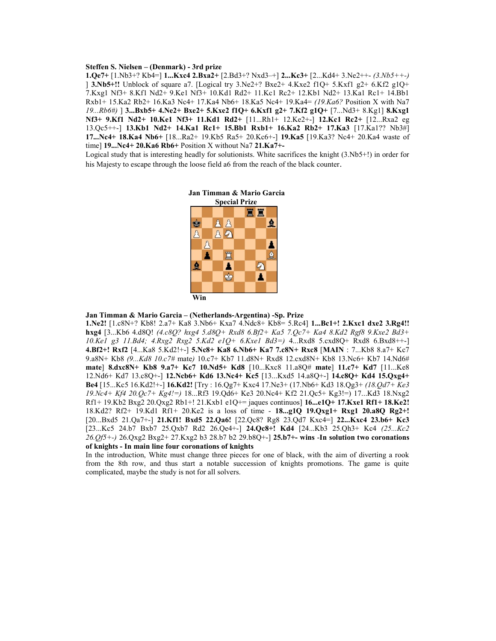## Steffen S. Nielsen – (Denmark) - 3rd prize

1.Qe7+ [1.Nb3+? Kb4=] 1...Kxc4 2.Bxa2+ [2.Bd3+? Nxd3–+] 2...Kc3+ [2...Kd4+ 3.Ne2++- (3.Nb5++-) ] 3.Nb5+!! Unblock of square a7. [Logical try 3.Ne2+? Bxe2+ 4.Kxe2 f1Q+ 5.Kxf1 g2+ 6.Kf2 g1Q+ 7.Kxg1 Nf3+ 8.Kf1 Nd2+ 9.Ke1 Nf3+ 10.Kd1 Rd2+ 11.Kc1 Rc2+ 12.Kb1 Nd2+ 13.Ka1 Rc1+ 14.Bb1 Rxb1+ 15.Ka2 Rb2+ 16.Ka3 Nc4+ 17.Ka4 Nb6+ 18.Ka5 Nc4+ 19.Ka4= (19.Ka6? Position X with Na7 19...Rb6#) ] 3...Bxb5+ 4.Ne2+ Bxe2+ 5.Kxe2 f1Q+ 6.Kxf1 g2+ 7.Kf2 g1Q+ [7...Nd3+ 8.Kg1] 8.Kxg1 Nf3+ 9.Kf1 Nd2+ 10.Ke1 Nf3+ 11.Kd1 Rd2+ [11...Rh1+ 12.Ke2+-] 12.Kc1 Rc2+ [12...Rxa2 eg 13.Qc5++-] 13.Kb1 Nd2+ 14.Ka1 Rc1+ 15.Bb1 Rxb1+ 16.Ka2 Rb2+ 17.Ka3 [17.Ka1?? Nb3#] 17...Nc4+ 18.Ka4 Nb6+ [18...Ra2+ 19.Kb5 Ra5+ 20.Kc6+-] 19.Ka5 [19.Ka3? Nc4+ 20.Ka4 waste of time] 19...Nc4+ 20.Ka6 Rb6+ Position X without Na7 21.Ka7+-

Logical study that is interesting headly for solutionists. White sacrifices the knight (3.Nb5+!) in order for his Majesty to escape through the loose field a6 from the reach of the black counter.



# Jan Timman & Mario Garcia – (Netherlands-Argentina) -Sp. Prize

1.Ne2! [1.c8N+? Kb8! 2.a7+ Ka8 3.Nb6+ Kxa7 4.Ndc8+ Kb8= 5.Rc4] 1...Bc1+! 2.Kxc1 dxe2 3.Rg4!! hxg4 [3...Kb6 4.d8Q! (4.c8Q? hxg4 5.d8Q+ Rxd8 6.Bf2+ Ka5 7.Qc7+ Ka4 8.Kd2 Rgf8 9.Kxe2 Bd3+ 10.Ke1 g3 11.Bd4; 4.Rxg2 Rxg2 5.Kd2 e1Q+ 6.Kxe1 Bd3=) 4...Rxd8 5.cxd8Q+ Rxd8 6.Bxd8++-] 4.Bf2+! Rxf2 [4...Ka8 5.Kd2!+-] 5.Nc8+ Ka8 6.Nb6+ Ka7 7.c8N+ Rxc8 [MAIN : 7...Kb8 8.a7+ Kc7 9.a8N+ Kb8 (9...Kd8 10.c7# mate) 10.c7+ Kb7 11.d8N+ Rxd8 12.cxd8N+ Kb8 13.Nc6+ Kb7 14.Nd6# mate] 8.dxc8N+ Kb8 9.a7+ Kc7 10.Nd5+ Kd8 [10...Kxc8 11.a8Q# mate] 11.c7+ Kd7 [11...Ke8 12.Nd6+ Kd7 13.c8Q+-] 12.Ncb6+ Kd6 13.Nc4+ Kc5 [13...Kxd5 14.a8Q+-] 14.c8Q+ Kd4 15.Qxg4+ Be4 [15...Kc5 16.Kd2!+-] 16.Kd2! [Try : 16.Qg7+ Kxc4 17.Ne3+ (17.Nb6+ Kd3 18.Qg3+ (18.Qd7+ Ke3 19.Nc4+ Kf4 20.Qc7+ Kg4!=) 18...Rf3 19.Qd6+ Ke3 20.Nc4+ Kf2 21.Qc5+ Kg3!=) 17...Kd3 18.Nxg2  $Rf1+ 19.Kb2 Bxg2 20.Qxg2 Rb1+121.Kxb1 e1Q+=$  jaques continuos] 16...e1Q + 17.Kxe1 Rf1 + 18.Ke2! 18.Kd2? Rf2+ 19.Kd1 Rf1+ 20.Ke2 is a loss of time - 18...g1Q 19.Qxg1+ Rxg1 20.a8Q Rg2+! [20...Bxd5 21.Qa7+-] 21.Kf1! Bxd5 22.Qa6! [22.Qc8? Rg8 23.Qd7 Kxc4=] 22...Kxc4 23.b6+ Kc3 [23...Kc5 24.b7 Bxb7 25.Qxb7 Rd2 26.Qe4+-] 24.Qc8+! Kd4 [24...Kb3 25.Qh3+ Kc4 (25...Kc2 26.Qf5+-) 26.Qxg2 Bxg2+ 27.Kxg2 b3 28.b7 b2 29.b8Q+-] 25.b7+- wins -In solution two coronations of knights - In main line four coronations of knights

In the introduction, White must change three pieces for one of black, with the aim of diverting a rook from the 8th row, and thus start a notable succession of knights promotions. The game is quite complicated, maybe the study is not for all solvers.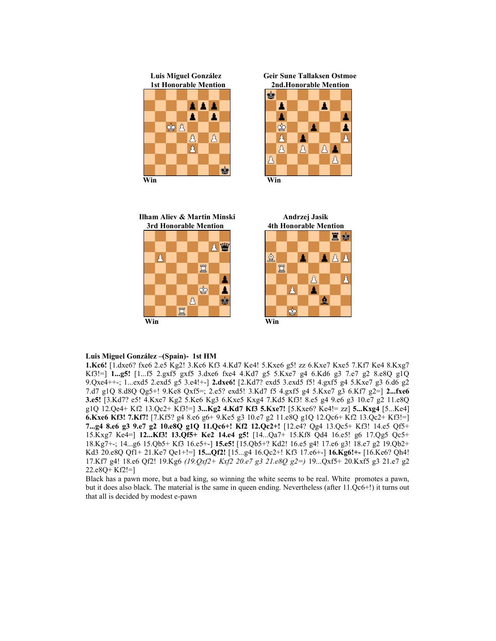# 1st Honorable Mention 2nd.Honorable Mention **AAA** Δ Δ  $88$  $\Delta$  $\Delta$ A  $\overline{\phantom{a}}$ Win Win

Luis Miguel González Geir Sune Tallaksen Ostmoe





e o 鱼  $\Delta$ 買 Å А

# Luis Miguel González –(Spain)- 1st HM

1.Kc6! [1.dxe6? fxe6 2.e5 Kg2! 3.Kc6 Kf3 4.Kd7 Ke4! 5.Kxe6 g5! zz 6.Kxe7 Kxe5 7.Kf7 Ke4 8.Kxg7 Kf3!=] 1...g5! [1...f5 2.gxf5 gxf5 3.dxe6 fxe4 4.Kd7 g5 5.Kxe7 g4 6.Kd6 g3 7.e7 g2 8.e8Q g1Q 9.Qxe4++-; 1...exd5 2.exd5 g5 3.e4!+-] 2.dxe6! [2.Kd7? exd5 3.exd5 f5! 4.gxf5 g4 5.Kxe7 g3 6.d6 g2 7.d7 g1Q 8.d8Q Qg5+! 9.Ke8 Qxf5=; 2.e5? exd5! 3.Kd7 f5 4.gxf5 g4 5.Kxe7 g3 6.Kf7 g2=] 2...fxe6 3.e5! [3.Kd7? e5! 4.Kxe7 Kg2 5.Ke6 Kg3 6.Kxe5 Kxg4 7.Kd5 Kf3! 8.e5 g4 9.e6 g3 10.e7 g2 11.e8Q g1Q 12.Qe4+ Kf2 13.Qc2+ Kf3!=] 3...Kg2 4.Kd7 Kf3 5.Kxe7! [5.Kxe6? Ke4!= zz] 5...Kxg4 [5...Ke4] 6.Kxe6 Kf3! 7.Kf7! [7.Kf5? g4 8.e6 g6+ 9.Ke5 g3 10.e7 g2 11.e8Q g1Q 12.Qc6+ Kf2 13.Qc2+ Kf3!=] 7...g4 8.e6 g3 9.e7 g2 10.e8Q g1Q 11.Qc6+! Kf2 12.Qc2+! [12.e4? Qg4 13.Qc5+ Kf3! 14.e5 Qf5+ 15.Kxg7 Ke4=] 12...Kf3! 13.Qf5+ Ke2 14.e4 g5! [14...Qa7+ 15.Kf8 Qd4 16.e5! g6 17.Qg5 Qc5+ 18.Kg7+-; 14...g6 15.Qb5+ Kf3 16.e5+-] 15.e5! [15.Qb5+? Kd2! 16.e5 g4! 17.e6 g3! 18.e7 g2 19.Qb2+ Kd3 20.e8Q Qf1+ 21.Ke7 Qe1+!=] 15...Qf2! [15...g4 16.Qc2+! Kf3 17.e6+-] 16.Kg6!+- [16.Ke6? Qh4! 17.Kf7 g4! 18.e6 Qf2! 19.Kg6 (19.Qxf2+ Kxf2 20.e7 g3 21.e8Q g2=) 19...Qxf5+ 20.Kxf5 g3 21.e7 g2 22.e8Q+ Kf2!=]

Black has a pawn more, but a bad king, so winning the white seems to be real. White promotes a pawn, but it does also black. The material is the same in queen ending. Nevertheless (after 11.Qc6+!) it turns out that all is decided by modest e-pawn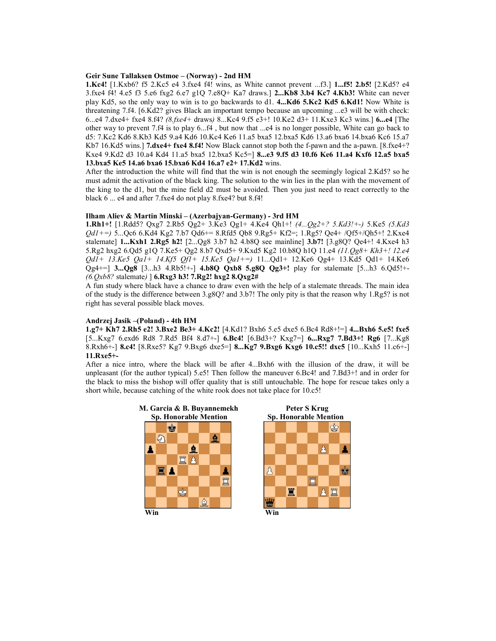## Geir Sune Tallaksen Ostmoe – (Norway) - 2nd HM

1.Kc4! [1.Kxb6? f5 2.Kc5 e4 3.fxe4 f4! wins, as White cannot prevent ...f3.] 1...f5! 2.b5! [2.Kd5? e4 3.fxe4 f4! 4.e5 f3 5.e6 fxg2 6.e7 g1Q 7.e8Q+ Ka7 draws.] 2...Kb8 3.b4 Kc7 4.Kb3! White can never play Kd5, so the only way to win is to go backwards to d1. 4...Kd6 5.Kc2 Kd5 6.Kd1! Now White is threatening 7.f4. [6.Kd2? gives Black an important tempo because an upcoming ...e3 will be with check: 6...e4 7.dxe4+ fxe4 8.f4? (8.fxe4+ draws) 8...Kc4 9.f5 e3+! 10.Ke2 d3+ 11.Kxe3 Kc3 wins.] 6...e4 [The other way to prevent 7.f4 is to play 6...f4 , but now that ...e4 is no longer possible, White can go back to d5: 7.Kc2 Kd6 8.Kb3 Kd5 9.a4 Kd6 10.Kc4 Ke6 11.a5 bxa5 12.bxa5 Kd6 13.a6 bxa6 14.bxa6 Kc6 15.a7 Kb7 16.Kd5 wins.] 7.dxe4+ fxe4 8.f4! Now Black cannot stop both the f-pawn and the a-pawn. [8.fxe4+?] Kxe4 9.Kd2 d3 10.a4 Kd4 11.a5 bxa5 12.bxa5 Kc5=] 8...e3 9.f5 d3 10.f6 Ke6 11.a4 Kxf6 12.a5 bxa5 13.bxa5 Ke5 14.a6 bxa6 15.bxa6 Kd4 16.a7 e2+ 17.Kd2 wins.

After the introduction the white will find that the win is not enough the seemingly logical 2.Kd5? so he must admit the activation of the black king. The solution to the win lies in the plan with the movement of the king to the d1, but the mine field d2 must be avoided. Then you just need to react correctly to the black 6 ... e4 and after 7.fxe4 do not play 8.fxe4? but 8.f4!

# Ilham Aliev & Martin Minski – (Azerbajyan-Germany) - 3rd HM

1.Rh1+! [1.Rdd5? Qxg7 2.Rb5 Qg2+ 3.Ke3 Qg1+ 4.Ke4 Qh1+! (4...Qg2+? 5.Kd3!+-) 5.Ke5 (5.Kd3 Qd1+=) 5...Qc6 6.Kd4 Kg2 7.b7 Qd6+= 8.Rfd5 Qb8 9.Rg5+ Kf2=; 1.Rg5? Qe4+ /Qf5+/Qh5+! 2.Kxe4 stalemate] 1...Kxh1 2.Rg5 h2! [2...Qg8 3.b7 h2 4.b8Q see mainline] 3.b7! [3.g8Q? Qe4+! 4.Kxe4 h3 5.Rg2 hxg2 6.Qd5 g1Q 7.Ke5+ Qg2 8.b7 Qxd5+ 9.Kxd5 Kg2 10.b8Q h1Q 11.e4 (11.Qg8+ Kh3+! 12.e4 Qd1+ 13.Ke5 Qa1+ 14.Kf5 Qf1+ 15.Ke5 Qa1+=) 11...Qd1+ 12.Ke6 Qg4+ 13.Kd5 Qd1+ 14.Ke6  $Qg4+=$ ] 3... $Qg8$  [3...h3 4.Rb5!+-] 4.b8Q  $Qxb8$  5.g8Q  $Qg3+$ ! play for stalemate [5...h3 6.Qd5!+- $(6.Qxb8?$  stalemate) ] 6.Rxg3 h3! 7.Rg2! hxg2 8.Qxg2#

A fun study where black have a chance to draw even with the help of a stalemate threads. The main idea of the study is the difference between 3.g8Q? and 3.b7! The only pity is that the reason why 1.Rg5? is not right has several possible black moves.

#### Andrzej Jasik –(Poland) - 4th HM

1.g7+ Kh7 2.Rh5 e2! 3.Bxe2 Be3+ 4.Kc2! [4.Kd1? Bxh6 5.e5 dxe5 6.Bc4 Rd8+!=] 4...Bxh6 5.e5! fxe5 [5...Kxg7 6.exd6 Rd8 7.Rd5 Bf4 8.d7+-] 6.Bc4! [6.Bd3+? Kxg7=] 6...Rxg7 7.Bd3+! Rg6 [7...Kg8 8.Rxh6+-] 8.c4! [8.Rxe5? Kg7 9.Bxg6 dxe5=] 8...Kg7 9.Bxg6 Kxg6 10.c5!! dxc5 [10...Kxh5 11.c6+-] 11.Rxe5+-

After a nice intro, where the black will be after 4...Bxh6 with the illusion of the draw, it will be unpleasant (for the author typical) 5.e5! Then follow the maneuver 6.Bc4! and 7.Bd3+! and in order for the black to miss the bishop will offer quality that is still untouchable. The hope for rescue takes only a short while, because catching of the white rook does not take place for 10.c5!

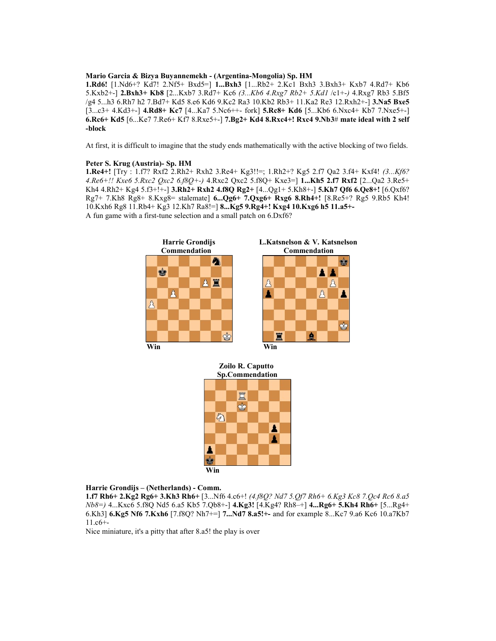# Mario Garcia & Bizya Buyannemekh - (Argentina-Mongolia) Sp. HM

1.Rd6! [1.Nd6+? Kd7! 2.Nf5+ Bxd5=] 1...Bxh3 [1...Rb2+ 2.Kc1 Bxh3 3.Bxh3+ Kxb7 4.Rd7+ Kb6 5.Kxb2+-] 2.Bxh3+ Kb8 [2...Kxb7 3.Rd7+ Kc6 (3...Kb6 4.Rxg7 Rb2+ 5.Kd1 /c1+-) 4.Rxg7 Rb3 5.Bf5 /g4 5...h3 6.Rh7 h2 7.Bd7+ Kd5 8.e6 Kd6 9.Kc2 Ra3 10.Kb2 Rb3+ 11.Ka2 Re3 12.Rxh2+-] 3.Na5 Bxe5 [3...c3+ 4.Kd3+-] 4.Rd8+ Kc7 [4...Ka7 5.Nc6++- fork] 5.Rc8+ Kd6 [5...Kb6 6.Nxc4+ Kb7 7.Nxe5+-] 6.Rc6+ Kd5 [6...Ke7 7.Re6+ Kf7 8.Rxe5+-] 7.Bg2+ Kd4 8.Rxc4+! Rxc4 9.Nb3# mate ideal with 2 self -block

At first, it is difficult to imagine that the study ends mathematically with the active blocking of two fields.

### Peter S. Krug (Austria)- Sp. HM

1.Re4+! [Try : 1.f7? Rxf2 2.Rh2+ Rxh2 3.Re4+ Kg3!!=; 1.Rh2+? Kg5 2.f7 Qa2 3.f4+ Kxf4! (3...Kf6? 4.Re6+!! Kxe6 5.Rxc2 Qxc2 6.f8Q+-) 4.Rxc2 Qxc2 5.f8Q+ Kxe3=] 1...Kh5 2.f7 Rxf2 [2...Qa2 3.Re5+ Kh4 4.Rh2+ Kg4 5.f3+!+-] 3.Rh2+ Rxh2 4.f8Q Rg2+ [4...Qg1+ 5.Kh8+-] 5.Kh7 Qf6 6.Qe8+! [6.Qxf6?  $Rg7+ 7.Kh8 Rg8+ 8.Kxg8=$  stalemate]  $6...Qg6+ 7.Qxg6+ Rxg6 8.Rh4+$ ! [8. $Re5+? Rg5 9.Rb5 Kh4!$ 10.Kxh6 Rg8 11.Rb4+ Kg3 12.Kh7 Ra8!=] 8...Kg5 9.Rg4+! Kxg4 10.Kxg6 h5 11.a5+- A fun game with a first-tune selection and a small patch on 6.Dxf6?



 Zoilo R. Caputto Sp.Commendation



# Harrie Grondijs – (Netherlands) - Comm.

1.f7 Rh6+ 2.Kg2 Rg6+ 3.Kh3 Rh6+ [3...Nf6 4.c6+! (4.f8Q? Nd7 5.Qf7 Rh6+ 6.Kg3 Kc8 7.Qc4 Rc6 8.a5 Nb8=) 4...Kxc6 5.f8Q Nd5 6.a5 Kb5 7.Qb8+-] 4.Kg3! [4.Kg4? Rh8–+] 4...Rg6+ 5.Kh4 Rh6+ [5...Rg4+ 6.Kh3] 6.Kg5 Nf6 7.Kxh6 [7.f8Q? Nh7+=] 7...Nd7 8.a5!+- and for example 8...Kc7 9.a6 Kc6 10.a7Kb7 11.c6+-

Nice miniature, it's a pitty that after 8.a5! the play is over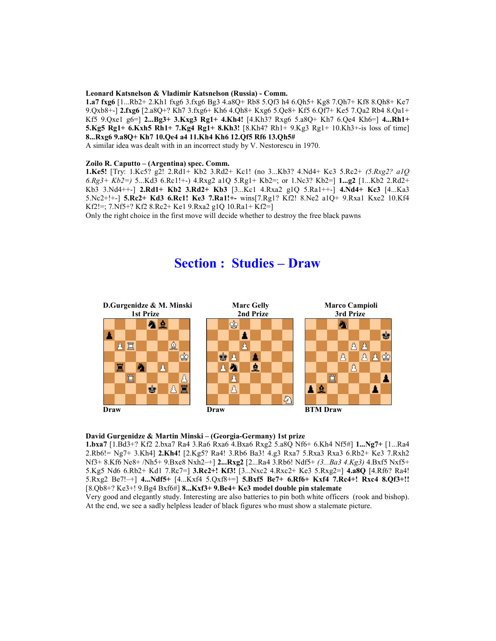### Leonard Katsnelson & Vladimir Katsnelson (Russia) - Comm.

1.a7 fxg6 [1...Rb2+ 2.Kh1 fxg6 3.fxg6 Bg3 4.a8Q+ Rb8 5.Qf3 h4 6.Qh5+ Kg8 7.Qh7+ Kf8 8.Qh8+ Ke7 9.Qxb8+-] 2.fxg6 [2.a8Q+? Kh7 3.fxg6+ Kh6 4.Qh8+ Kxg6 5.Qe8+ Kf5 6.Qf7+ Ke5 7.Qa2 Rb4 8.Qa1+ Kf5 9.Qxe1 g6=]  $2...Bg3+3.Kxg3 Rg1+4.Kh4!$  [4.Kh3? Rxg6 5.a8Q+ Kh7 6.Qe4 Kh6=]  $4...Rh1+$ 5.Kg5 Rg1+ 6.Kxh5 Rh1+ 7.Kg4 Rg1+ 8.Kh3! [8.Kh4? Rh1+ 9.Kg3 Rg1+ 10.Kh3+-is loss of time] 8...Rxg6 9.a8Q+ Kh7 10.Qe4 a4 11.Kh4 Kh6 12.Qf5 Rf6 13.Qh5#

A similar idea was dealt with in an incorrect study by V. Nestorescu in 1970.

# Zoilo R. Caputto – (Argentina) spec. Comm.

1.Ke5! [Try: 1.Kc5? g2! 2.Rd1+ Kb2 3.Rd2+ Kc1! (no 3...Kb3? 4.Nd4+ Kc3 5.Rc2+ (5.Rxg2? a1Q 6.Rg3+ Kb2=) 5...Kd3 6.Rc1!+-) 4.Rxg2 a1Q 5.Rg1+ Kb2=; or 1.Nc3? Kb2=]  $1 \dots g2$  [1...Kb2 2.Rd2+ Kb3 3.Nd4++-] 2.Rd1+ Kb2 3.Rd2+ Kb3 [3...Kc1 4.Rxa2 g1Q 5.Ra1++-] 4.Nd4+ Kc3 [4...Ka3 5.Nc2+!+-] 5.Rc2+ Kd3 6.Rc1! Ke3 7.Ra1!+- wins[7.Rg1? Kf2! 8.Ne2 a1Q+ 9.Rxa1 Kxe2 10.Kf4 Kf2!=; 7.Nf5+? Kf2 8.Rc2+ Ke1 9.Rxa2 g1Q 10.Ra1+ Kf2=]

Only the right choice in the first move will decide whether to destroy the free black pawns

# Section : Studies – Draw



# David Gurgenidze & Martin Minski – (Georgia-Germany) 1st prize

1.bxa7 [1.Bd3+? Kf2 2.bxa7 Ra4 3.Ra6 Rxa6 4.Bxa6 Rxg2 5.a8Q Nf6+ 6.Kh4 Nf5#] 1...Ng7+ [1...Ra4 2.Rb6!= Ng7+ 3.Kh4] 2.Kh4! [2.Kg5? Ra4! 3.Rb6 Ba3! 4.g3 Rxa7 5.Rxa3 Rxa3 6.Rb2+ Ke3 7.Rxh2 Nf3+ 8.Kf6 Ne8+ /Nh5+ 9.Bxe8 Nxh2–+] 2...Rxg2 [2...Ra4 3.Rb6! Ndf5+ (3...Ba3 4.Kg3) 4.Bxf5 Nxf5+ 5.Kg5 Nd6 6.Rb2+ Kd1 7.Rc7=] 3.Rc2+! Kf3! [3...Nxc2 4.Rxc2+ Ke3 5.Rxg2=] 4.a8Q [4.Rf6? Ra4! 5.Rxg2 Be7!–+] 4...Ndf5+ [4...Kxf4 5.Qxf8+=] 5.Bxf5 Be7+ 6.Rf6+ Kxf4 7.Rc4+! Rxc4 8.Qf3+!!  $[8.Qb8+?$  Ke3+! 9.Bg4 Bxf6#] 8...Kxf3+ 9.Be4+ Ke3 model double pin stalemate

Very good and elegantly study. Interesting are also batteries to pin both white officers (rook and bishop). At the end, we see a sadly helpless leader of black figures who must show a stalemate picture.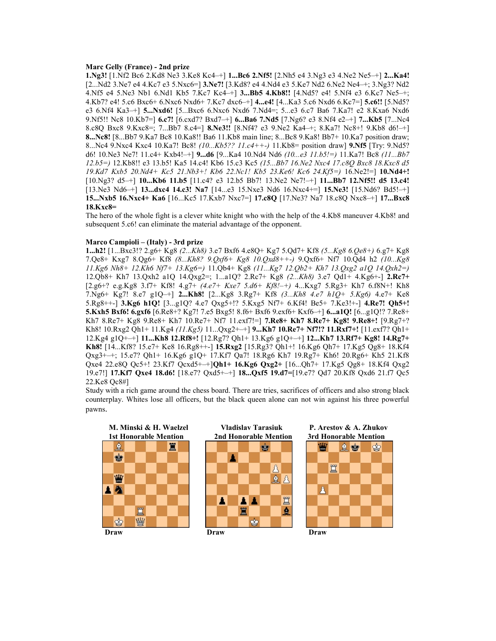## Marc Gelly (France) - 2nd prize

1.Ng3! [1.Nf2 Bc6 2.Kd8 Ne3 3.Ke8 Kc4–+] 1...Bc6 2.Nf5! [2.Nh5 e4 3.Ng3 e3 4.Ne2 Ne5–+] 2...Ka4! [2...Nd2 3.Ne7 e4 4.Kc7 e3 5.Nxc6=] 3.Ne7! [3.Kd8? e4 4.Nd4 e3 5.Ke7 Nd2 6.Ne2 Ne4–+; 3.Ng3? Nd2 4.Nf5 e4 5.Ne3 Nb1 6.Nd1 Kb5 7.Kc7 Kc4–+] 3...Bb5 4.Kb8!! [4.Nd5? e4! 5.Nf4 e3 6.Kc7 Ne5–+; 4.Kb7? e4! 5.c6 Bxc6+ 6.Nxc6 Nxd6+ 7.Kc7 dxc6–+] 4...e4! [4...Ka3 5.c6 Nxd6 6.Kc7=] 5.c6!! [5.Nd5? e3 6.Nf4 Ka3–+] 5...Nxd6! [5...Bxc6 6.Nxc6 Nxd6 7.Nd4=; 5...e3 6.c7 Ba6 7.Ka7! e2 8.Kxa6 Nxd6 9.Nf5!! Nc8 10.Kb7=] 6.c7! [6.cxd7? Bxd7–+] 6...Ba6 7.Nd5 [7.Ng6? e3 8.Nf4 e2–+] 7...Kb5 [7...Nc4 8.c8Q Bxc8 9.Kxc8=; 7...Bb7 8.c4=] 8.Ne3!! [8.Nf4? e3 9.Ne2 Ka4–+; 8.Ka7! Nc8+! 9.Kb8 d6!–+] 8...Nc8! [8...Bb7 9.Ka7 Bc8 10.Ka8!! Ba6 11.Kb8 main line; 8...Bc8 9.Ka8! Bb7+ 10.Ka7 position draw; 8...Nc4 9.Nxc4 Kxc4 10.Ka7! Bc8! (10...Kb5?? 11.c4++-) 11.Kb8= position draw] 9.Nf5 [Try: 9.Nd5? d6! 10.Ne3 Ne7! 11.c4+ Kxb4!-+] 9...d6 [9...Ka4 10.Nd4 Nd6 (10...e3 11.b5!=) 11.Ka7! Bc8 (11...Bb7 12.b5=) 12.Kb8!! e3 13.b5! Ka5 14.c4! Kb6 15.c3 Kc5 (15...Bb7 16.Ne2 Nxc4 17.c8Q Bxc8 18.Kxc8 d5 19.Kd7 Kxb5 20.Nd4+ Kc5 21.Nb3+! Kb6 22.Nc1! Kb5 23.Ke6! Kc6 24.Kf5=) 16.Ne2!=] 10.Nd4+! [10.Ng3? d5-+] 10...Kb6 11.b5 [11.c4? e3 12.b5 Bb7! 13.Ne2 Ne7!-+] 11...Bb7 12.Nf5!! d5 13.c4! [13.Ne3 Nd6–+] 13...dxc4 14.c3! Na7 [14...e3 15.Nxe3 Nd6 16.Nxc4+=] 15.Ne3! [15.Nd6? Bd5!–+] 15...Nxb5 16.Nxc4+ Ka6 [16...Kc5 17.Kxb7 Nxc7=] 17.c8Q [17.Ne3? Na7 18.c8Q Nxc8–+] 17...Bxc8 18.Kxc8=

The hero of the whole fight is a clever white knight who with the help of the 4.Kb8 maneuver 4.Kb8! and subsequent 5.c6! can eliminate the material advantage of the opponent.

## Marco Campioli – (Italy) - 3rd prize

1...h2! [1...Bxc3!? 2.g6+ Kg8 (2...Kh8) 3.e7 Bxf6 4.e8Q+ Kg7 5.Qd7+ Kf8 (5...Kg8 6.Qe8+) 6.g7+ Kg8 7.Qe8+ Kxg7 8.Qg6+ Kf8 (8...Kh8? 9.Qxf6+ Kg8 10.Qxd8++-) 9.Qxf6+ Nf7 10.Qd4 h2 (10...Kg8 11.Kg6 Nh8+ 12.Kh6 Nf7+ 13.Kg6=) 11.Qb4+ Kg8 (11...Kg7 12.Qb2+ Kh7 13.Qxg2 a1Q 14.Qxh2=) 12.Qb8+ Kh7 13.Qxh2 a1Q 14.Qxg2=; 1...a1Q? 2.Rc7+ Kg8 (2...Kh8) 3.e7 Qd1+ 4.Kg6+-] 2.Rc7+ [2.g6+? e.g.Kg8 3.f7+ Kf8! 4.g7+ (4.e7+ Kxe7 5.d6+ Kf8!–+) 4...Kxg7 5.Rg3+ Kh7 6.f8N+! Kh8 7.Ng6+ Kg7! 8.e7 g1Q–+] 2...Kh8! [2...Kg8 3.Rg7+ Kf8 (3...Kh8 4.e7 h1Q+ 5.Kg6) 4.e7+ Ke8 5.Rg8++-] 3.Kg6 h1Q! [3...g1Q? 4.e7 Qxg5+!? 5.Kxg5 Nf7+ 6.Kf4! Be5+ 7.Ke3!+-] 4.Re7! Qh5+! 5.Kxh5 Bxf6! 6.gxf6 [6.Re8+? Kg7! 7.e5 Bxg5! 8.f6+ Bxf6 9.exf6+ Kxf6–+] 6...a1Q! [6...g1Q!? 7.Re8+ Kh7 8.Re7+ Kg8 9.Re8+ Kh7 10.Re7+ Nf7 11.exf7!=] 7.Re8+ Kh7 8.Re7+ Kg8! 9.Re8+! [9.Rg7+? Kh8! 10.Rxg2 Qh1+ 11.Kg4 (11.Kg5) 11...Qxg2+-+] 9...Kh7 10.Re7+ Nf7!? 11.Rxf7+! [11.exf7? Qh1+ 12.Kg4 g1Q+–+] 11...Kh8 12.Rf8+! [12.Rg7? Qh1+ 13.Kg6 g1Q+–+] 12...Kh7 13.Rf7+ Kg8! 14.Rg7+ Kh8! [14...Kf8? 15.e7+ Ke8 16.Rg8++-] 15.Rxg2 [15.Rg3? Qh1+! 16.Kg6 Qh7+ 17.Kg5 Qg8+ 18.Kf4 Qxg3+–+; 15.e7? Qh1+ 16.Kg6 g1Q+ 17.Kf7 Qa7! 18.Rg6 Kh7 19.Rg7+ Kh6! 20.Rg6+ Kh5 21.Kf8 Qxe4 22.e8Q Qc5+! 23.Kf7 Qcxd5+–+]Qh1+ 16.Kg6 Qxg2+ [16...Qh7+ 17.Kg5 Qg8+ 18.Kf4 Qxg2 19.e7!] 17.Kf7 Qxe4 18.d6! [18.e7? Qxd5+–+] 18...Qxf5 19.d7=[19.e7? Qd7 20.Kf8 Qxd6 21.f7 Qc5 22.Ke8 Qc8#]

Study with a rich game around the chess board. There are tries, sacrifices of officers and also strong black counterplay. Whites lose all officers, but the black queen alone can not win against his three powerful pawns.

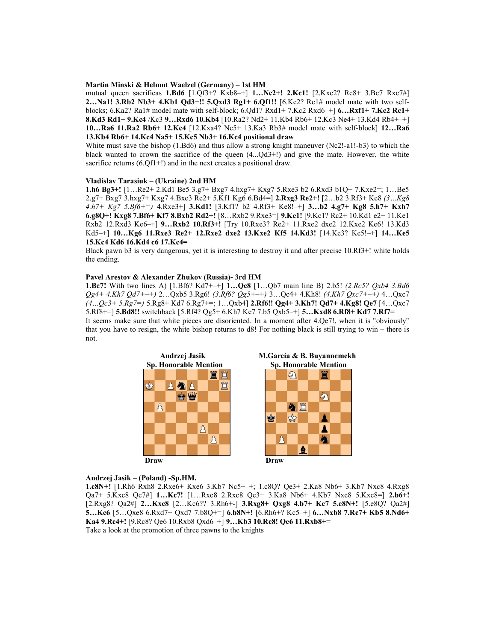## Martin Minski & Helmut Waelzel (Germany) – 1st HM

mutual queen sacrificas 1.Bd6 [1.Qf3+? Kxb8–+] 1…Nc2+! 2.Kc1! [2.Kxc2? Rc8+ 3.Bc7 Rxc7#] 2...Na1! 3.Rb2 Nb3+ 4.Kb1 Qd3+!! 5.Qxd3 Rg1+ 6.Qf1!! [6.Kc2? Rc1# model mate with two selfblocks; 6.Ka2? Ra1# model mate with self-block;  $6.Qd1$ ? Rxd1+ 7.Kc2 Rxd6-+]  $6...Rxf1+ 7.Kc2$  Rc1+ 8.Kd3 Rd1+ 9.Kc4 /Kc3 9…Rxd6 10.Kb4 [10.Ra2? Nd2+ 11.Kb4 Rb6+ 12.Kc3 Ne4+ 13.Kd4 Rb4+–+] 10…Ra6 11.Ra2 Rb6+ 12.Kc4 [12.Kxa4? Nc5+ 13.Ka3 Rb3# model mate with self-block] 12…Ra6 13.Kb4 Rb6+ 14.Kc4 Na5+ 15.Kc5 Nb3+ 16.Kc4 positional draw

White must save the bishop (1.Bd6) and thus allow a strong knight maneuver (Nc2!-a1!-b3) to which the black wanted to crown the sacrifice of the queen  $(4...0d3+)$  and give the mate. However, the white sacrifice returns (6.Qf1+!) and in the next creates a positional draw.

## Vladislav Tarasiuk – (Ukraine) 2nd HM

1.h6 Bg3+! [1…Re2+ 2.Kd1 Be5 3.g7+ Bxg7 4.hxg7+ Kxg7 5.Rxe3 b2 6.Rxd3 b1Q+ 7.Kxe2=; 1…Be5 2.g7+ Bxg7 3.hxg7+ Kxg7 4.Bxe3 Re2+ 5.Kf1 Kg6 6.Bd4=] 2.Rxg3 Re2+! [2…b2 3.Rf3+ Ke8 (3…Kg8  $4h7+Kg7$   $5Bf6+=$   $4.$ Rxe3+]  $3.$ Kd1! [3.Kf1? b2  $4.$ Rf3+ Ke8!-+]  $3...$ b2  $4.$ g7+ Kg8  $5.$ h7+ Kxh7 6.g8Q+! Kxg8 7.Bf6+ Kf7 8.Bxb2 Rd2+! [8…Rxb2 9.Rxe3=] 9.Ke1! [9.Kc1? Rc2+ 10.Kd1 e2+ 11.Ke1 Rxb2 12.Rxd3 Ke6–+] 9…Rxb2 10.Rf3+! [Try 10.Rxe3? Re2+ 11.Rxe2 dxe2 12.Kxe2 Ke6! 13.Kd3 Kd5–+] 10…Kg6 11.Rxe3 Re2+ 12.Rxe2 dxe2 13.Kxe2 Kf5 14.Kd3! [14.Ke3? Ke5!–+] 14…Ke5 15.Kc4 Kd6 16.Kd4 c6 17.Kc4=

Black pawn b3 is very dangerous, yet it is interesting to destroy it and after precise 10.Rf3+! white holds the ending.

## Pavel Arestov & Alexander Zhukov (Russia)- 3rd HM

**1.Bc7!** With two lines A)  $[1.Bf6? Kd7+-1]$  **1...Qc8**  $[1...Qb7]$  main line B) 2.b5! (2.Rc5? Qxb4 3.Bd6  $Qg4+4.Kh7 Qd7+-$ + $2...Qxb5$  3.Rg6! (3.Rf6?  $Qg5+-$ + $3...Qc4+4.Kh8$ ! (4.Kh7  $Qxc7+-$ +) 4... $Qxc7$  $(4...Qc3+5.Rg7=)$  5.Rg8+ Kd7 6.Rg7+=; 1...Qxb4] 2.Rf6!! Qg4+ 3.Kh7! Qd7+ 4.Kg8! Qe7 [4...Qxc7 5.Rf8+=] 5.Bd8!! switchback [5.Rf4? Qg5+ 6.Kh7 Ke7 7.b5 Qxb5–+] 5…Kxd8 6.Rf8+ Kd7 7.Rf7= It seems make sure that white pieces are disoriented. In a moment after 4.Qe7!, when it is "obviously" that you have to resign, the white bishop returns to d8! For nothing black is still trying to win – there is not.





#### Andrzej Jasik – (Poland) -Sp.HM.

1.c8N+! [1.Rh6 Rxh8 2.Rxe6+ Kxe6 3.Kb7 Nc5+–+; 1.c8Q? Qe3+ 2.Ka8 Nb6+ 3.Kb7 Nxc8 4.Rxg8 Qa7+ 5.Kxc8 Qc7#] 1…Kc7! [1…Rxc8 2.Rxc8 Qe3+ 3.Ka8 Nb6+ 4.Kb7 Nxc8 5.Kxc8=] 2.b6+! [2.Rxg8? Qa2#] 2…Kxc8 [2…Kc6?? 3.Rh6+-] 3.Rxg8+ Qxg8 4.b7+ Kc7 5.e8N+! [5.e8Q? Qa2#] 5…Kc6 [5…Qxe8 6.Rxd7+ Qxd7 7.b8Q+=] 6.b8N+! [6.Rh6+? Kc5–+] 6…Nxb8 7.Rc7+ Kb5 8.Nd6+ Ka4 9.Rc4+! [9.Rc8? Qe6 10.Rxb8 Qxd6–+] 9…Kb3 10.Rc8! Qe6 11.Rxb8+= Take a look at the promotion of three pawns to the knights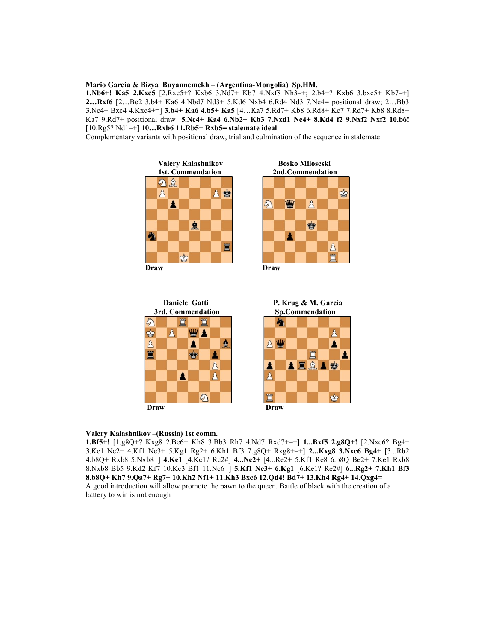#### Mario García & Bizya Buyannemekh – (Argentina-Mongolia) Sp.HM.

1.Nb6+! Ka5 2.Kxc5 [2.Rxc5+? Kxb6 3.Nd7+ Kb7 4.Nxf8 Nh3–+; 2.b4+? Kxb6 3.bxc5+ Kb7–+] 2…Rxf6 [2…Be2 3.b4+ Ka6 4.Nbd7 Nd3+ 5.Kd6 Nxb4 6.Rd4 Nd3 7.Ne4= positional draw; 2…Bb3 3.Nc4+ Bxc4 4.Kxc4+=] 3.b4+ Ka6 4.b5+ Ka5 [4…Ka7 5.Rd7+ Kb8 6.Rd8+ Kc7 7.Rd7+ Kb8 8.Rd8+ Ka7 9.Rd7+ positional draw] 5.Nc4+ Ka4 6.Nb2+ Kb3 7.Nxd1 Ne4+ 8.Kd4 f2 9.Nxf2 Nxf2 10.b6!  $[10.Rg5? Nd1-+] 10...Rxb6 11.Rb5+Rxb5=stalemente ideal$ 

Complementary variants with positional draw, trial and culmination of the sequence in stalemate







### Valery Kalashnikov –(Russia) 1st comm.

1.Bf5+! [1.g8Q+? Kxg8 2.Be6+ Kh8 3.Bb3 Rh7 4.Nd7 Rxd7+–+] 1...Bxf5 2.g8Q+! [2.Nxc6? Bg4+ 3.Ke1 Nc2+ 4.Kf1 Ne3+ 5.Kg1 Rg2+ 6.Kh1 Bf3 7.g8Q+ Rxg8+–+] 2...Kxg8 3.Nxc6 Bg4+ [3...Rb2 4.b8Q+ Rxb8 5.Nxb8=] 4.Ke1 [4.Kc1? Rc2#] 4...Nc2+ [4...Re2+ 5.Kf1 Re8 6.b8Q Be2+ 7.Ke1 Rxb8 8.Nxb8 Bb5 9.Kd2 Kf7 10.Kc3 Bf1 11.Nc6=] 5.Kf1 Ne3+ 6.Kg1 [6.Ke1? Re2#] 6...Rg2+ 7.Kh1 Bf3 8.b8Q+ Kh7 9.Qa7+ Rg7+ 10.Kh2 Nf1+ 11.Kh3 Bxc6 12.Qd4! Bd7+ 13.Kh4 Rg4+ 14.Qxg4= A good introduction will allow promote the pawn to the queen. Battle of black with the creation of a battery to win is not enough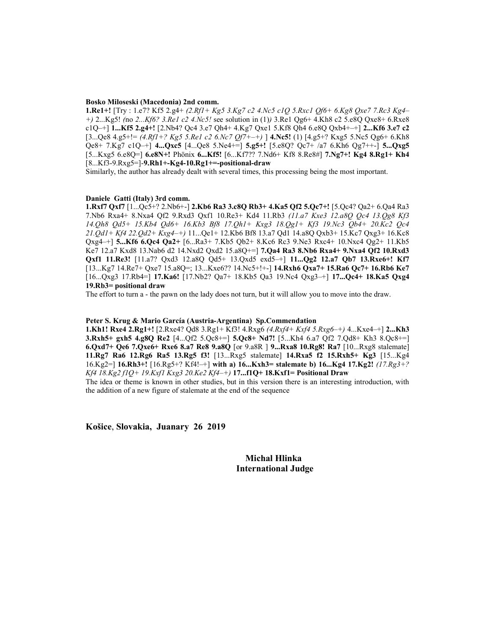#### Bosko Miloseski (Macedonia) 2nd comm.

1.Re1+! [Try : 1.e7? Kf5 2.g4+ (2.Rf1+ Kg5 3.Kg7 c2 4.Nc5 c1Q 5.Rxc1 Qf6+ 6.Kg8 Qxe7 7.Rc3 Kg4–  $+$ ) 2...Kg5! (no 2...Kf6? 3.Re1 c2 4.Nc5! see solution in (1)) 3.Re1 Qg6+ 4.Kh8 c2 5.e8Q Qxe8+ 6.Rxe8 c1Q–+] 1...Kf5 2.g4+! [2.Nb4? Qc4 3.e7 Qh4+ 4.Kg7 Qxe1 5.Kf8 Qh4 6.e8Q Qxb4+–+] 2...Kf6 3.e7 c2  $[3...Qe8 4.g5+] = (4.Rf1 + ? Kg5 5.Rel c2 6.Nc7 Qf7+-+)$  ]  $4.Nc5!$  (1)  $[4.g5+?$  Kxg5 5.Nc5 Qg6+ 6.Kh8 Qe8+ 7.Kg7 c1Q–+] 4...Qxc5 [4...Qe8 5.Ne4+=] 5.g5+! [5.e8Q? Qc7+ /a7 6.Kh6 Qg7++-] 5...Qxg5 [5...Kxg5 6.e8Q=] 6.e8N+! Phönix 6...Kf5! [6...Kf7?? 7.Nd6+ Kf8 8.Re8#] 7.Ng7+! Kg4 8.Rg1+ Kh4 [8...Kf3-9.Rxg5=]-9.Rh1+-Kg4-10.Rg1+=-positional-draw

Similarly, the author has already dealt with several times, this processing being the most important.

#### Daniele Gatti (Italy) 3rd comm.

1.Rxf7 Qxf7 [1...Qc5+? 2.Nb6+-] 2.Kb6 Ra3 3.c8Q Rb3+ 4.Ka5 Qf2 5.Qc7+! [5.Qc4? Qa2+ 6.Qa4 Ra3 7.Nb6 Rxa4+ 8.Nxa4 Qf2 9.Rxd3 Qxf1 10.Re3+ Kd4 11.Rb3 (11.a7 Kxe3 12.a8Q Qc4 13.Qg8 Kf3 14.Qh8 Qd5+ 15.Kb4 Qd6+ 16.Kb3 Bf8 17.Qh1+ Kxg3 18.Qg1+ Kf3 19.Nc3 Qb4+ 20.Kc2 Qc4 21.Qd1+ Kf4 22.Qd2+ Kxg4–+) 11...Qe1+ 12.Kb6 Bf8 13.a7 Qd1 14.a8Q Qxb3+ 15.Kc7 Qxg3+ 16.Kc8 Qxg4–+] 5...Kf6 6.Qc4 Qa2+ [6...Ra3+ 7.Kb5 Qb2+ 8.Kc6 Rc3 9.Ne3 Rxc4+ 10.Nxc4 Qg2+ 11.Kb5 Ke7 12.a7 Kxd8 13.Nab6 d2 14.Nxd2 Qxd2 15.a8Q+=] 7.Qa4 Ra3 8.Nb6 Rxa4+ 9.Nxa4 Qf2 10.Rxd3 Qxf1 11.Re3! [11.a7? Qxd3 12.a8Q Qd5+ 13.Qxd5 exd5–+] 11...Qg2 12.a7 Qb7 13.Rxe6+! Kf7 [13...Kg7 14.Re7+ Qxe7 15.a8Q=; 13...Kxe6?? 14.Nc5+!+-] 14.Rxh6 Qxa7+ 15.Ra6 Qc7+ 16.Rb6 Ke7 [16...Qxg3 17.Rb4=] 17.Ka6! [17.Nb2? Qa7+ 18.Kb5 Qa3 19.Nc4 Qxg3–+] 17...Qc4+ 18.Ka5 Qxg4 19.Rb3= positional draw

The effort to turn a - the pawn on the lady does not turn, but it will allow you to move into the draw.

## Peter S. Krug & Mario García (Austria-Argentina) Sp.Commendation

1.Kh1! Rxe4 2.Rg1+! [2.Rxe4? Qd8 3.Rg1+ Kf3! 4.Rxg6 (4.Rxf4+ Kxf4 5.Rxg6-+) 4...Kxe4-+] 2...Kh3 3.Rxh5+ gxh5 4.g8Q Re2 [4...Qf2 5.Qc8+=] 5.Qc8+ Nd7! [5...Kh4 6.a7 Qf2 7.Qd8+ Kh3 8.Qc8+=] 6.Qxd7+ Qe6 7.Qxe6+ Rxe6 8.a7 Re8 9.a8Q [or 9.a8R ] 9...Rxa8 10.Rg8! Ra7 [10...Rxg8 stalemate] 11.Rg7 Ra6 12.Rg6 Ra5 13.Rg5 f3! [13...Rxg5 stalemate] 14.Rxa5 f2 15.Rxh5+ Kg3 [15...Kg4 16.Kg2=] 16.Rh3+! [16.Rg5+? Kf4!-+] with a) 16...Kxh3= stalemate b) 16...Kg4 17.Kg2! (17.Rg3+? Kf4  $18.$ Kg2  $f1Q + 19.$ Kxf1 Kxg3  $20.$ Ke2 Kf4-+) 17...f1Q+ 18.Kxf1= Positional Draw

The idea or theme is known in other studies, but in this version there is an interesting introduction, with the addition of a new figure of stalemate at the end of the sequence

Košice, Slovakia, Juanary 26 2019

 Michal Hlinka International Judge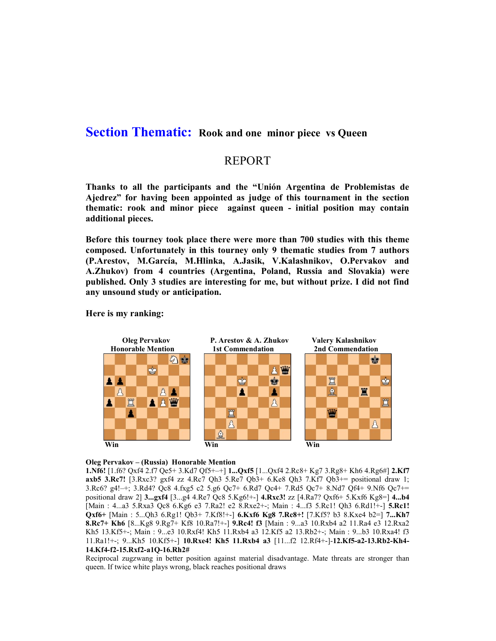# Section Thematic: Rook and one minor piece vs Queen

# REPORT

Thanks to all the participants and the "Unión Argentina de Problemistas de Ajedrez" for having been appointed as judge of this tournament in the section thematic: rook and minor piece against queen - initial position may contain additional pieces.

Before this tourney took place there were more than 700 studies with this theme composed. Unfortunately in this tourney only 9 thematic studies from 7 authors (P.Arestov, M.García, M.Hlinka, A.Jasik, V.Kalashnikov, O.Pervakov and A.Zhukov) from 4 countries (Argentina, Poland, Russia and Slovakia) were published. Only 3 studies are interesting for me, but without prize. I did not find any unsound study or anticipation.

Here is my ranking:



# Oleg Pervakov – (Russia) Honorable Mention

1.Nf6! [1.f6? Qxf4 2.f7 Qe5+ 3.Kd7 Qf5+–+] 1...Qxf5 [1...Qxf4 2.Rc8+ Kg7 3.Rg8+ Kh6 4.Rg6#] 2.Kf7 axb5 3.Rc7! [3.Rxc3? gxf4 zz 4.Rc7 Qh3 5.Re7 Qb3+ 6.Ke8 Qh3 7.Kf7 Qb3+= positional draw 1; 3.Rc6? g4!–+; 3.Rd4? Qc8 4.fxg5 c2 5.g6 Qc7+ 6.Rd7 Qc4+ 7.Rd5 Qc7+ 8.Nd7 Qf4+ 9.Nf6 Qc7+= positional draw 2] 3...gxf4 [3...g4 4.Re7 Qc8 5.Kg6!+-] 4.Rxc3! zz [4.Ra7? Qxf6+ 5.Kxf6 Kg8=] 4...b4 [Main : 4...a3 5.Rxa3 Qc8 6.Kg6 e3 7.Ra2! e2 8.Rxe2+-; Main : 4...f3 5.Rc1! Qh3 6.Rd1!+-] 5.Rc1! Qxf6+ [Main : 5...Qh3 6.Rg1! Qb3+ 7.Kf8!+-] 6.Kxf6 Kg8 7.Rc8+! [7.Kf5? b3 8.Kxe4 b2=] 7...Kh7 8.Rc7+ Kh6 [8...Kg8 9.Rg7+ Kf8 10.Ra7!+-] 9.Rc4! f3 [Main : 9...a3 10.Rxb4 a2 11.Ra4 e3 12.Rxa2 Kh5 13.Kf5+-; Main : 9...e3 10.Rxf4! Kh5 11.Rxb4 a3 12.Kf5 a2 13.Rb2+-; Main : 9...b3 10.Rxa4! f3 11.Ra1!+-; 9...Kh5 10.Kf5+-] 10.Rxe4! Kh5 11.Rxb4 a3 [11...f2 12.Rf4+-]-12.Kf5-a2-13.Rb2-Kh4- 14.Kf4-f2-15.Rxf2-a1Q-16.Rh2#

Reciprocal zugzwang in better position against material disadvantage. Mate threats are stronger than queen. If twice white plays wrong, black reaches positional draws